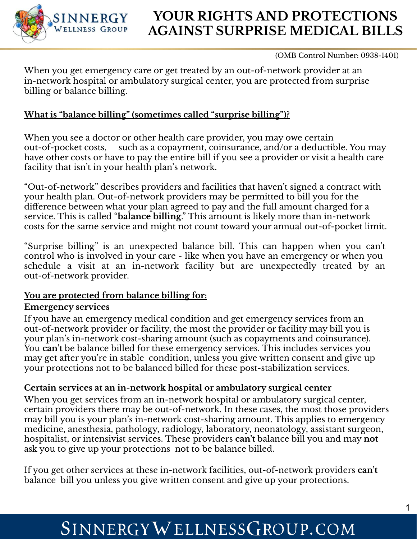

## **YOUR RIGHTS AND PROTECTIONS AGAINST SURPRISE MEDICAL BILLS**

(OMB Control Number: 0938-1401)

When you get emergency care or get treated by an out-of-network provider at an in-network hospital or ambulatory surgical center, you are protected from surprise billing or balance billing.

### **What is "balance billing" (sometimes called "surprise billing")?**

When you see a doctor or other health care provider, you may owe certain out-of-pocket costs, such as a copayment, coinsurance, and/or a deductible. You may have other costs or have to pay the entire bill if you see a provider or visit a health care facility that isn't in your health plan's network.

"Out-of-network" describes providers and facilities that haven't signed a contract with your health plan. Out-of-network providers may be permitted to bill you for the difference between what your plan agreed to pay and the full amount charged for a service. This is called "**balance billing**." This amount is likely more than in-network costs for the same service and might not count toward your annual out-of-pocket limit.

"Surprise billing" is an unexpected balance bill. This can happen when you can't control who is involved in your care - like when you have an emergency or when you schedule a visit at an in-network facility but are unexpectedly treated by an out-of-network provider.

#### **You are protected from balance billing for:**

#### **Emergency services**

If you have an emergency medical condition and get emergency services from an out-of-network provider or facility, the most the provider or facility may bill you is your plan's in-network cost-sharing amount (such as copayments and coinsurance). You **can't** be balance billed for these emergency services. This includes services you may get after you're in stable condition, unless you give written consent and give up your protections not to be balanced billed for these post-stabilization services.

### **Certain services at an in-network hospital or ambulatory surgical center**

When you get services from an in-network hospital or ambulatory surgical center, certain providers there may be out-of-network. In these cases, the most those providers may bill you is your plan's in-network cost-sharing amount. This applies to emergency medicine, anesthesia, pathology, radiology, laboratory, neonatology, assistant surgeon, hospitalist, or intensivist services. These providers **can't** balance bill you and may **not**  ask you to give up your protections not to be balance billed.

If you get other services at these in-network facilities, out-of-network providers **can't**  balance bill you unless you give written consent and give up your protections.

# SINNERGYWELLNESSGROUP.COM

 $\mathbf 2$